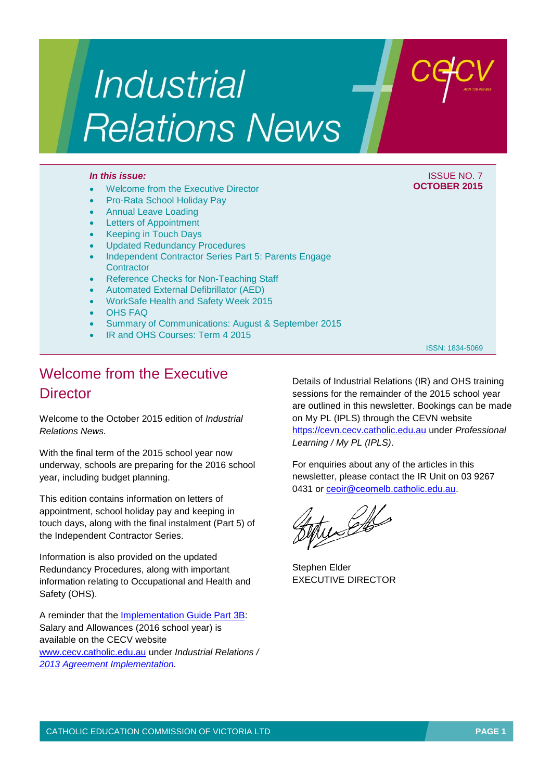# Industrial **Relations News**

#### *In this issue:* ISSUE NO. 7

#### Welcome from the Executive Director

- Pro-Rata School Holiday Pay
- Annual Leave Loading
- Letters of Appointment
- Keeping in Touch Days
- Updated Redundancy Procedures
- Independent Contractor Series Part 5: Parents Engage **Contractor**
- Reference Checks for Non-Teaching Staff
- Automated External Defibrillator (AED)
- WorkSafe Health and Safety Week 2015
- OHS FAQ
- Summary of Communications: August & September 2015
- IR and OHS Courses: Term 4 2015

ISSN: 1834-5069

**OCTOBER 2015**

## Welcome from the Executive **Director**

Welcome to the October 2015 edition of *Industrial Relations News.*

With the final term of the 2015 school year now underway, schools are preparing for the 2016 school year, including budget planning.

This edition contains information on letters of appointment, school holiday pay and keeping in touch days, along with the final instalment (Part 5) of the Independent Contractor Series.

Information is also provided on the updated Redundancy Procedures, along with important information relating to Occupational and Health and Safety (OHS).

A reminder that the [Implementation Guide Part 3B:](http://www.cecv.catholic.edu.au/vcsa/Implementation_Guidelines/Salary_Implementation/Part_3_B.pdf) Salary and Allowances (2016 school year) is available on the CECV website [www.cecv.catholic.edu.au](http://www.cecv.catholic.edu.au/) under *Industrial Relations / [2013 Agreement Implementation.](http://www.cecv.catholic.edu.au/vcsa/Implementation_Guidelines/implementation_guides.htm)*

Details of Industrial Relations (IR) and OHS training sessions for the remainder of the 2015 school year are outlined in this newsletter. Bookings can be made on My PL (IPLS) through the CEVN website [https://cevn.cecv.catholic.edu.au](https://cevn.cecv.catholic.edu.au/) under *Professional Learning / My PL (IPLS)*.

For enquiries about any of the articles in this newsletter, please contact the IR Unit on 03 9267 0431 or [ceoir@ceomelb.catholic.edu.au.](mailto:ceoir@ceomelb.catholic.edu.au)

turell

Stephen Elder EXECUTIVE DIRECTOR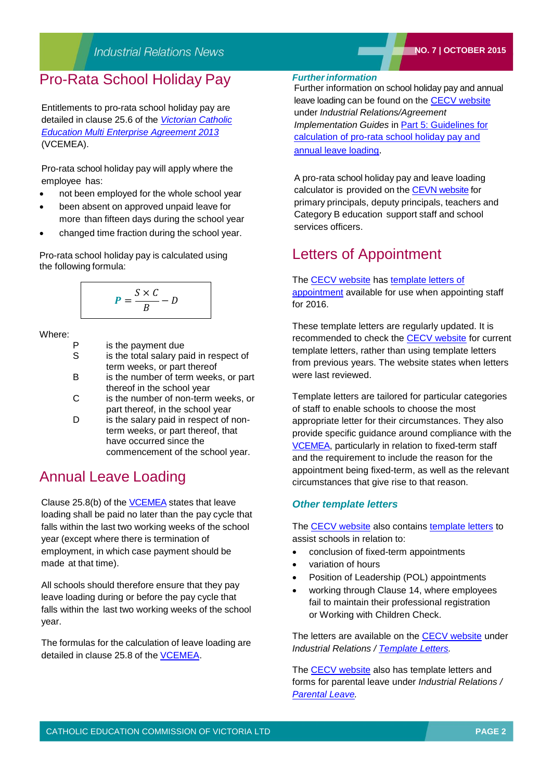## Pro-Rata School Holiday Pay

Entitlements to pro-rata school holiday pay are detailed in clause 25.6 of the *[Victorian Catholic](http://www.cecv.catholic.edu.au/vcsa/Agreement_2013/VCEMEA_2013.pdf)  [Education Multi Enterprise Agreement 2013](http://www.cecv.catholic.edu.au/vcsa/Agreement_2013/VCEMEA_2013.pdf)* (VCEMEA).

Pro-rata school holiday pay will apply where the employee has:

- not been employed for the whole school year
- been absent on approved unpaid leave for more than fifteen days during the school year
- changed time fraction during the school year.

Pro-rata school holiday pay is calculated using the following formula:

$$
P = \frac{S \times C}{B} - D
$$

Where:

- P is the payment due
- S is the total salary paid in respect of term weeks, or part thereof
- B is the number of term weeks, or part thereof in the school year
- C is the number of non-term weeks, or part thereof, in the school year
- D is the salary paid in respect of nonterm weeks, or part thereof, that have occurred since the commencement of the school year.

## Annual Leave Loading

Clause 25.8(b) of the VCEMEA states that leave loading shall be paid no later than the pay cycle that falls within the last two working weeks of the school year (except where there is termination of employment, in which case payment should be made at that time).

All schools should therefore ensure that they pay leave loading during or before the pay cycle that falls within the last two working weeks of the school year.

The formulas for the calculation of leave loading are detailed in clause 25.8 of the [VCEMEA.](http://www.cecv.catholic.edu.au/vcsa/Agreement_2013/VCEMEA_2013.pdf)

#### *Furtherinformation*

Further information on school holiday pay and annual leave loading can be found on the [CECV website](http://www.cecv.catholic.edu.au/frameset.htm?page=industrial) under *Industrial Relations/Agreement Implementation Guides* in Part [5: Guidelines for](http://www.cecv.catholic.edu.au/vcsa/Implementation_Guidelines/Part_5.pdf)  [calculation of pro-rata school holiday pay and](http://www.cecv.catholic.edu.au/vcsa/Implementation_Guidelines/Part_5.pdf)  [annual leave loading](http://www.cecv.catholic.edu.au/vcsa/Implementation_Guidelines/Part_5.pdf).

A pro-rata school holiday pay and leave loading calculator is provided on the [CEVN website](http://cevn.cecv.catholic.edu.au/assets/0/72/86/145663/152280/f30efc35-d959-4c62-a1c3-05a58514b5ba.pdf) for primary principals, deputy principals, teachers and Category B education support staff and school services officers.

## Letters of Appointment

The [CECV website](http://www.cecv.catholic.edu.au/) has [template letters of](http://www.cecv.catholic.edu.au/vcsa/lettersofappointment/instructions.html)  [appointment](http://www.cecv.catholic.edu.au/vcsa/lettersofappointment/instructions.html) available for use when appointing staff for 2016.

These template letters are regularly updated. It is recommended to check the [CECV website](http://www.cecv.catholic.edu.au/frameset.htm?page=industrial) for current template letters, rather than using template letters from previous years. The website states when letters were last reviewed.

Template letters are tailored for particular categories of staff to enable schools to choose the most appropriate letter for their circumstances. They also provide specific guidance around compliance with the [VCEMEA,](http://www.cecv.catholic.edu.au/vcsa/Agreement_2013/VCEMEA_2013.pdf) particularly in relation to fixed-term staff and the requirement to include the reason for the appointment being fixed-term, as well as the relevant circumstances that give rise to that reason.

## *Other template letters*

The [CECV website](http://www.cecv.catholic.edu.au/frameset.htm?page=industrial) also contains [template letters](http://www.cecv.catholic.edu.au/vcsa/lettersofappointment/instructions.html) to assist schools in relation to:

- conclusion of fixed-term appointments
- variation of hours
- Position of Leadership (POL) appointments
- working through Clause 14, where employees fail to maintain their professional registration or Working with Children Check.

The letters are available on the [CECV website](http://www.cecv.catholic.edu.au/frameset.htm?page=industrial) under *Industrial Relations / [Template Letters.](http://www.cecv.catholic.edu.au/vcsa/lettersofappointment/instructions.html)*

The [CECV website](http://www.cecv.catholic.edu.au/frameset.htm?page=industrial) also has template letters and forms for parental leave under *Industrial Relations / [Parental Leave.](http://www.cecv.catholic.edu.au/vcsa/parental_leave/parental_leave.html)*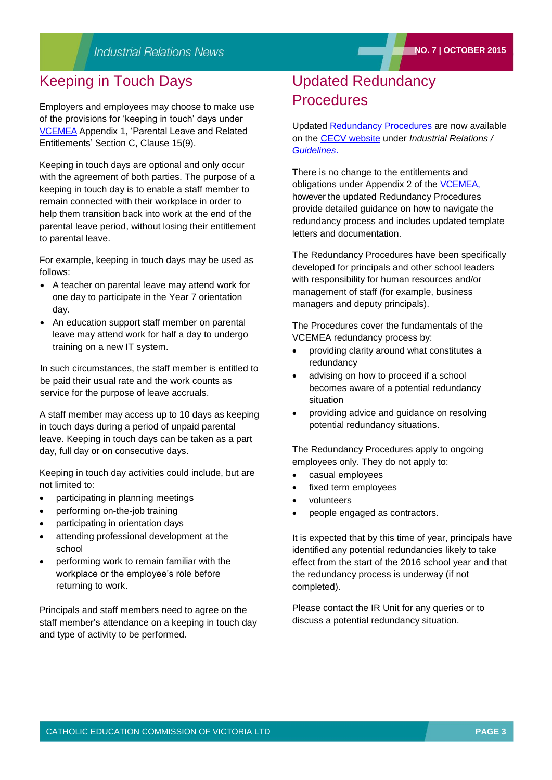## Keeping in Touch Days

Employers and employees may choose to make use of the provisions for 'keeping in touch' days under [VCEMEA](http://www.cecv.catholic.edu.au/vcsa/Agreement_2013/VCEMEA_2013.pdf) Appendix 1, 'Parental Leave and Related Entitlements' Section C, Clause 15(9).

Keeping in touch days are optional and only occur with the agreement of both parties. The purpose of a keeping in touch day is to enable a staff member to remain connected with their workplace in order to help them transition back into work at the end of the parental leave period, without losing their entitlement to parental leave.

For example, keeping in touch days may be used as follows:

- A teacher on parental leave may attend work for one day to participate in the Year 7 orientation day.
- An education support staff member on parental leave may attend work for half a day to undergo training on a new IT system.

In such circumstances, the staff member is entitled to be paid their usual rate and the work counts as service for the purpose of leave accruals.

A staff member may access up to 10 days as keeping in touch days during a period of unpaid parental leave. Keeping in touch days can be taken as a part day, full day or on consecutive days.

Keeping in touch day activities could include, but are not limited to:

- participating in planning meetings
- performing on-the-job training
- participating in orientation days
- attending professional development at the school
- performing work to remain familiar with the workplace or the employee's role before returning to work.

Principals and staff members need to agree on the staff member's attendance on a keeping in touch day and type of activity to be performed.

## Updated Redundancy **Procedures**

Updated [Redundancy Procedures](http://www.cecv.catholic.edu.au/vcsa/redundancy/Redundancy_Procedures.pdf) are now available on the [CECV website](http://www.cecv.catholic.edu.au/default.htm) under *Industrial Relations / [Guidelines](http://www.cecv.catholic.edu.au/vcsa/guidelines/guideindex.htm)*.

There is no change to the entitlements and obligations under Appendix 2 of the [VCEMEA,](http://www.cecv.catholic.edu.au/vcsa/Agreement_2013/VCEMEA_2013.pdf)  however the updated Redundancy Procedures provide detailed guidance on how to navigate the redundancy process and includes updated template letters and documentation.

The Redundancy Procedures have been specifically developed for principals and other school leaders with responsibility for human resources and/or management of staff (for example, business managers and deputy principals).

The Procedures cover the fundamentals of the VCEMEA redundancy process by:

- providing clarity around what constitutes a redundancy
- advising on how to proceed if a school becomes aware of a potential redundancy situation
- providing advice and guidance on resolving potential redundancy situations.

The Redundancy Procedures apply to ongoing employees only. They do not apply to:

- casual employees
- fixed term employees
- volunteers
- people engaged as contractors.

It is expected that by this time of year, principals have identified any potential redundancies likely to take effect from the start of the 2016 school year and that the redundancy process is underway (if not completed).

Please contact the IR Unit for any queries or to discuss a potential redundancy situation.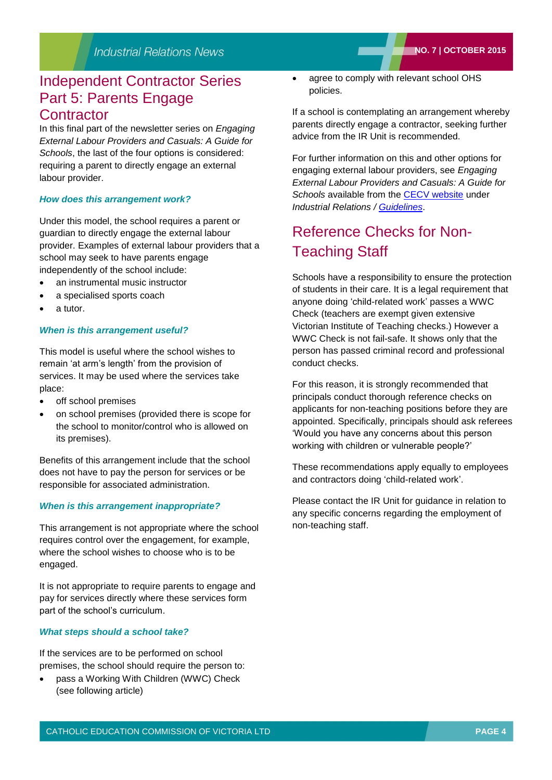## Independent Contractor Series Part 5: Parents Engage

## **Contractor**

In this final part of the newsletter series on *Engaging External Labour Providers and Casuals: A Guide for Schools*, the last of the four options is considered: requiring a parent to directly engage an external labour provider.

#### *How does this arrangement work?*

Under this model, the school requires a parent or guardian to directly engage the external labour provider. Examples of external labour providers that a school may seek to have parents engage independently of the school include:

- an instrumental music instructor
- a specialised sports coach
- a tutor.

### *When is this arrangement useful?*

This model is useful where the school wishes to remain 'at arm's length' from the provision of services. It may be used where the services take place:

- off school premises
- on school premises (provided there is scope for the school to monitor/control who is allowed on its premises).

Benefits of this arrangement include that the school does not have to pay the person for services or be responsible for associated administration.

#### *When is this arrangement inappropriate?*

This arrangement is not appropriate where the school requires control over the engagement, for example, where the school wishes to choose who is to be engaged.

It is not appropriate to require parents to engage and pay for services directly where these services form part of the school's curriculum.

#### *What steps should a school take?*

If the services are to be performed on school premises, the school should require the person to:

 pass a Working With Children (WWC) Check (see following article)

 agree to comply with relevant school OHS policies.

If a school is contemplating an arrangement whereby parents directly engage a contractor, seeking further advice from the IR Unit is recommended.

For further information on this and other options for engaging external labour providers, see *Engaging External Labour Providers and Casuals: A Guide for Schools* available from the [CECV website](http://www.cecv.catholic.edu.au/) under *Industrial Relations / [Guidelines](http://www.cecv.catholic.edu.au/vcsa/guidelines/guideindex.htm)*.

# Reference Checks for Non-Teaching Staff

Schools have a responsibility to ensure the protection of students in their care. It is a legal requirement that anyone doing 'child-related work' passes a WWC Check (teachers are exempt given extensive Victorian Institute of Teaching checks.) However a WWC Check is not fail-safe. It shows only that the person has passed criminal record and professional conduct checks.

For this reason, it is strongly recommended that principals conduct thorough reference checks on applicants for non-teaching positions before they are appointed. Specifically, principals should ask referees 'Would you have any concerns about this person working with children or vulnerable people?'

These recommendations apply equally to employees and contractors doing 'child-related work'.

Please contact the IR Unit for guidance in relation to any specific concerns regarding the employment of non-teaching staff.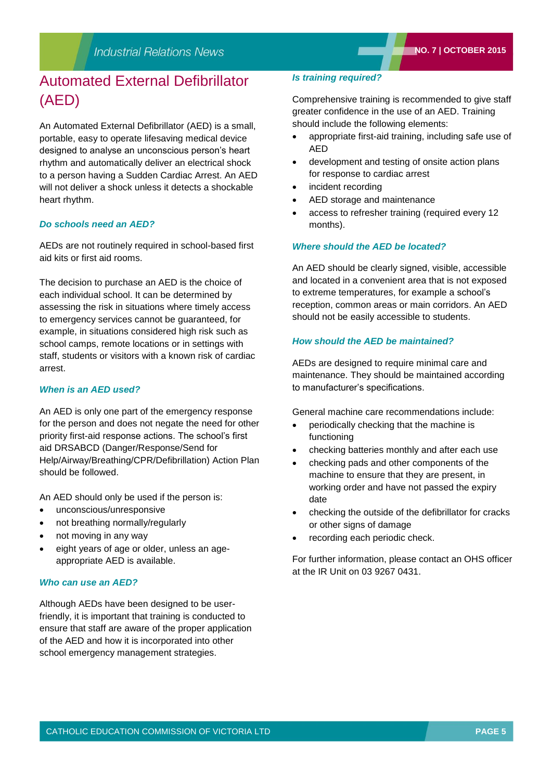# Automated External Defibrillator (AED)

An Automated External Defibrillator (AED) is a small, portable, easy to operate lifesaving medical device designed to analyse an unconscious person's heart rhythm and automatically deliver an electrical shock to a person having a Sudden Cardiac Arrest. An AED will not deliver a shock unless it detects a shockable heart rhythm.

#### *Do schools need an AED?*

AEDs are not routinely required in school-based first aid kits or first aid rooms.

The decision to purchase an AED is the choice of each individual school. It can be determined by assessing the risk in situations where timely access to emergency services cannot be guaranteed, for example, in situations considered high risk such as school camps, remote locations or in settings with staff, students or visitors with a known risk of cardiac arrest.

#### *When is an AED used?*

An AED is only one part of the emergency response for the person and does not negate the need for other priority first-aid response actions. The school's first aid DRSABCD (Danger/Response/Send for Help/Airway/Breathing/CPR/Defibrillation) Action Plan should be followed.

An AED should only be used if the person is:

- unconscious/unresponsive
- not breathing normally/regularly
- not moving in any way
- eight years of age or older, unless an ageappropriate AED is available.

#### *Who can use an AED?*

Although AEDs have been designed to be userfriendly, it is important that training is conducted to ensure that staff are aware of the proper application of the AED and how it is incorporated into other school emergency management strategies.

#### *Is training required?*

Comprehensive training is recommended to give staff greater confidence in the use of an AED. Training should include the following elements:

- appropriate first-aid training, including safe use of AED
- development and testing of onsite action plans for response to cardiac arrest
- incident recording
- AED storage and maintenance
- access to refresher training (required every 12 months).

#### *Where should the AED be located?*

An AED should be clearly signed, visible, accessible and located in a convenient area that is not exposed to extreme temperatures, for example a school's reception, common areas or main corridors. An AED should not be easily accessible to students.

#### *How should the AED be maintained?*

AEDs are designed to require minimal care and maintenance. They should be maintained according to manufacturer's specifications.

General machine care recommendations include:

- periodically checking that the machine is functioning
- checking batteries monthly and after each use
- checking pads and other components of the machine to ensure that they are present, in working order and have not passed the expiry date
- checking the outside of the defibrillator for cracks or other signs of damage
- recording each periodic check.

For further information, please contact an OHS officer at the IR Unit on 03 9267 0431.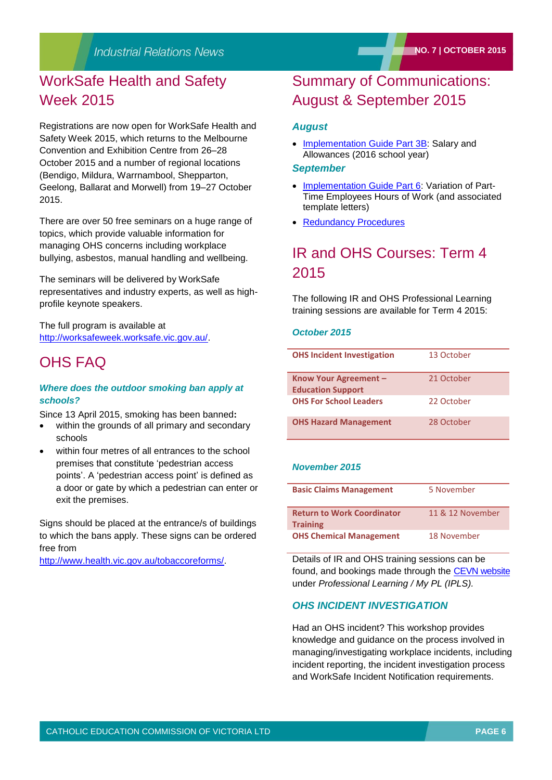# WorkSafe Health and Safety Week 2015

Registrations are now open for WorkSafe Health and Safety Week 2015, which returns to the Melbourne Convention and Exhibition Centre from 26–28 October 2015 and a number of regional locations (Bendigo, Mildura, Warrnambool, Shepparton, Geelong, Ballarat and Morwell) from 19–27 October 2015.

There are over 50 free seminars on a huge range of topics, which provide valuable information for managing OHS concerns including workplace bullying, asbestos, manual handling and wellbeing.

The seminars will be delivered by WorkSafe representatives and industry experts, as well as highprofile keynote speakers.

The full program is available at [http://worksafeweek.worksafe.vic.gov.au/.](http://worksafeweek.worksafe.vic.gov.au/)

## OHS FAQ

#### *Where does the outdoor smoking ban apply at schools?*

Since 13 April 2015, smoking has been banned**:**

- within the grounds of all primary and secondary schools
- within four metres of all entrances to the school premises that constitute 'pedestrian access points'. A 'pedestrian access point' is defined as a door or gate by which a pedestrian can enter or exit the premises.

Signs should be placed at the entrance/s of buildings to which the bans apply. These signs can be ordered free from

[http://www.health.vic.gov.au/tobaccoreforms/.](http://www.health.vic.gov.au/tobaccoreforms/)

# Summary of Communications: August & September 2015

#### *August*

• [Implementation Guide Part 3B:](http://www.cecv.catholic.edu.au/vcsa/Implementation_Guidelines/Salary_Implementation/Part_3_B.pdf) Salary and Allowances (2016 school year)

#### *September*

- [Implementation Guide Part 6:](http://www.cecv.catholic.edu.au/vcsa/Implementation_Guidelines/Variation_of_hours/Part_6.pdf) Variation of Part-Time Employees Hours of Work (and associated template letters)
- [Redundancy Procedures](http://www.cecv.catholic.edu.au/vcsa/redundancy/redundancy.html)

## IR and OHS Courses: Term 4 2015

The following IR and OHS Professional Learning training sessions are available for Term 4 2015:

#### *October 2015*

| <b>OHS Incident Investigation</b>                 | 13 October |
|---------------------------------------------------|------------|
| Know Your Agreement -<br><b>Education Support</b> | 21 October |
| <b>OHS For School Leaders</b>                     | 22 October |
| <b>OHS Hazard Management</b>                      | 28 October |

#### *November 2015*

| <b>Basic Claims Management</b>                       | 5 November       |
|------------------------------------------------------|------------------|
| <b>Return to Work Coordinator</b><br><b>Training</b> | 11 & 12 November |
| <b>OHS Chemical Management</b>                       | 18 November      |

Details of IR and OHS training sessions can be found, and bookings made through the [CEVN website](http://cevn.cecv.catholic.edu.au/assets/0/72/86/145663/152280/f30efc35-d959-4c62-a1c3-05a58514b5ba.pdf) under *Professional Learning / My PL (IPLS).*

## *OHS INCIDENT INVESTIGATION*

Had an OHS incident? This workshop provides knowledge and guidance on the process involved in managing/investigating workplace incidents, including incident reporting, the incident investigation process and WorkSafe Incident Notification requirements.